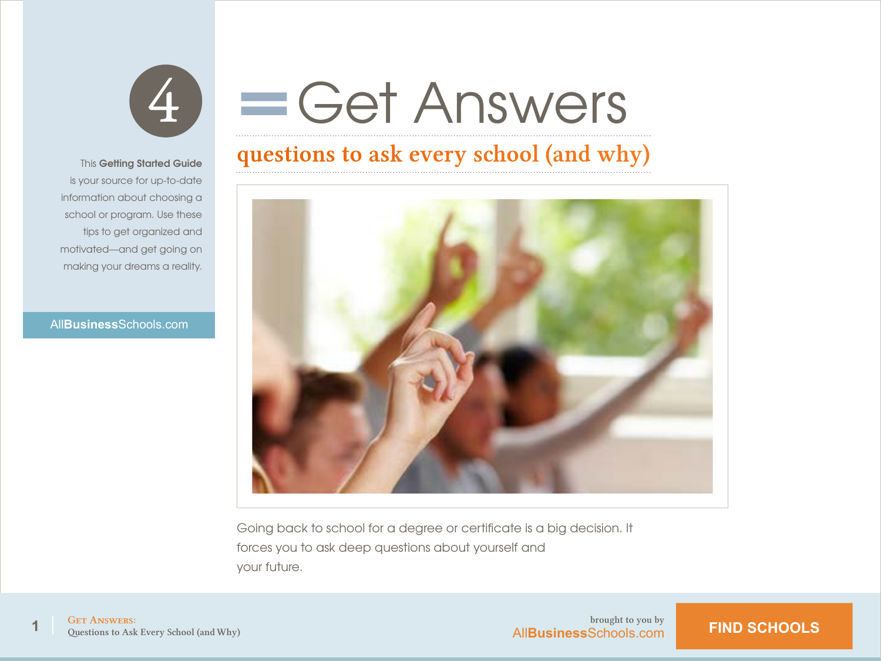

# Get Answers

### questions to ask every school (and why)



Going back to school for a degree or certificate is a big decision. It forces you to ask deep questions about yourself and your future.

#### This **Getting Started Guide**

 is your source for up-to-date information about choosing a school or program. Use these tips to get organized and motivated—and get going on making your dreams a reality.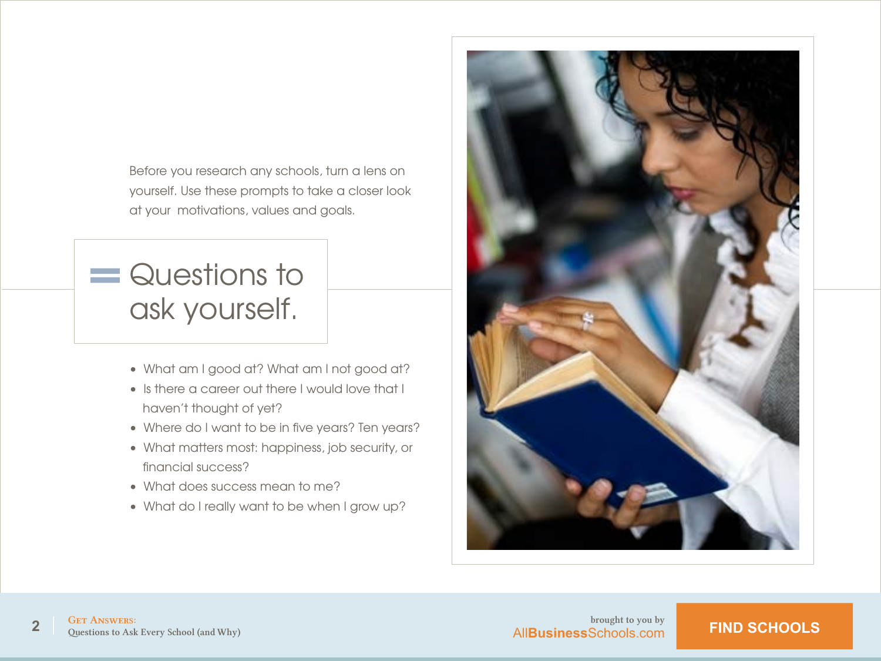Before you research any schools, turn a lens on yourself. Use these prompts to take a closer look at your motivations, values and goals.

## $=$  Questions to ask yourself.

- What am I good at? What am I not good at?
- Is there a career out there I would love that I haven't thought of yet?
- Where do I want to be in five years? Ten years?
- What matters most: happiness, job security, or financial success?
- What does success mean to me?
- What do I really want to be when I grow up?

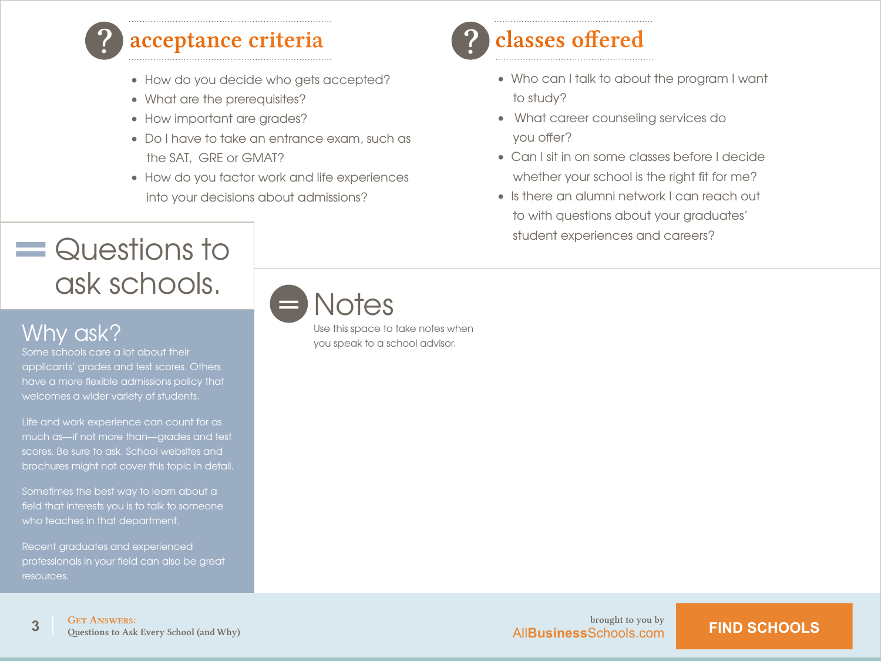

#### acceptance criteria

- How do you decide who gets accepted?
- What are the prerequisites?
- How important are grades?
- Do I have to take an entrance exam, such as the SAT, GRE or GMAT?
- How do you factor work and life experiences into your decisions about admissions?

## $=$  Questions to ask schools.

### Why ask?

Some schools care a lot about their applicants' grades and test scores. Others have a more flexible admissions policy that welcomes a wider variety of students.

Life and work experience can count for as much as—if not more than—grades and test scores. Be sure to ask. School websites and brochures might not cover this topic in detail.

Sometimes the best way to learn about a field that interests you is to talk to someone who teaches in that department.

Recent graduates and experienced professionals in your field can also be great resources.

|  | <i>Notes</i> |  |
|--|--------------|--|
|  |              |  |

Use this space to take notes when you speak to a school advisor.

## ? classes offered

- Who can I talk to about the program I want to study?
- What career counseling services do you offer?
- Can I sit in on some classes before I decide whether your school is the right fit for me?
- Is there an alumni network I can reach out to with questions about your graduates' student experiences and careers?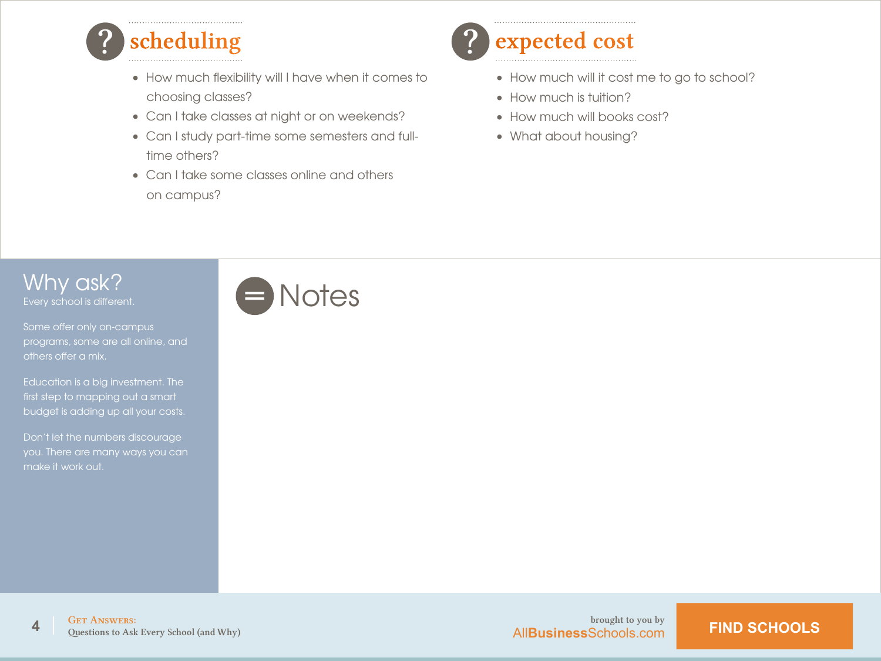

- How much flexibility will I have when it comes to choosing classes?
- Can I take classes at night or on weekends?
- Can I study part-time some semesters and fulltime others?
- Can I take some classes online and others on campus?

## expected cost

- How much will it cost me to go to school?
- How much is tuition?
- How much will books cost?
- What about housing?

#### Why ask? Every school is different.

programs, some are all online, and others offer a mix.

Education is a big investment. The first step to mapping out a smart budget is adding up all your costs.

Don't let the numbers discourage make it work out.

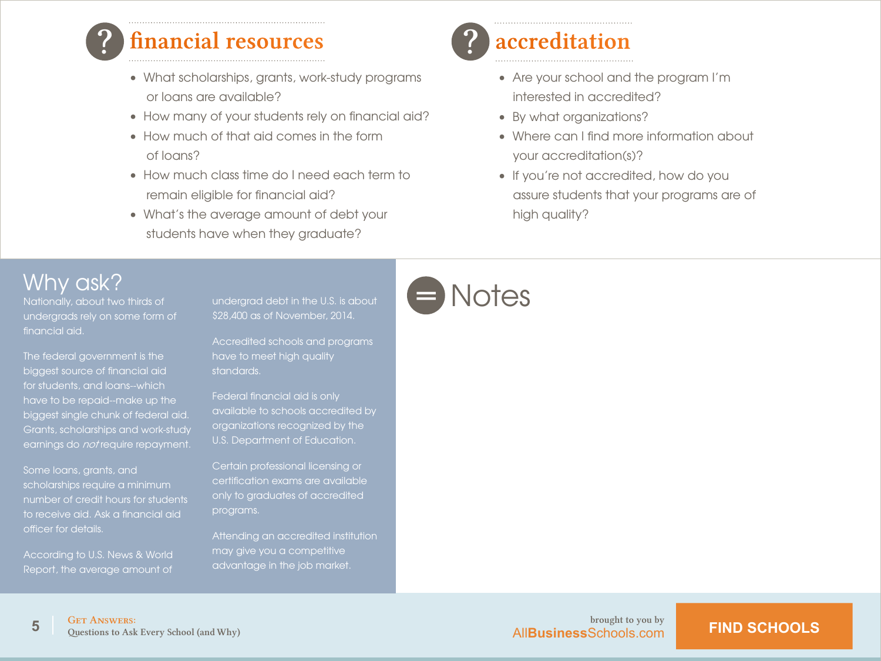

### financial resources

- What scholarships, grants, work-study programs or loans are available?
- How many of your students rely on financial aid?
- How much of that aid comes in the form of loans?
- How much class time do I need each term to remain eligible for financial aid?
- What's the average amount of debt your students have when they graduate?

## accreditation

- Are your school and the program I'm interested in accredited?
- By what organizations?
- Where can I find more information about your accreditation(s)?
- If you're not accredited, how do you assure students that your programs are of high quality?

#### Why ask?

Nationally, about two thirds of undergrads rely on some form of financial aid.

The federal government is the biggest source of financial aid for students, and loans--which have to be repaid--make up the biggest single chunk of federal aid. Grants, scholarships and work-study earnings do *not* require repayment.

Some loans, grants, and scholarships require a minimum number of credit hours for students to receive aid. Ask a financial aid officer for details.

According to U.S. News & World Report, the average amount of undergrad debt in the U.S. is about \$28,400 as of November, 2014.

Accredited schools and programs have to meet high quality standards.

Federal financial aid is only available to schools accredited by organizations recognized by the U.S. Department of Education.

certification exams are available only to graduates of accredited programs.

Attending an accredited institution may give you a competitive advantage in the job market.



**AllBusiness**Schools.com **FIND SCHOOLS**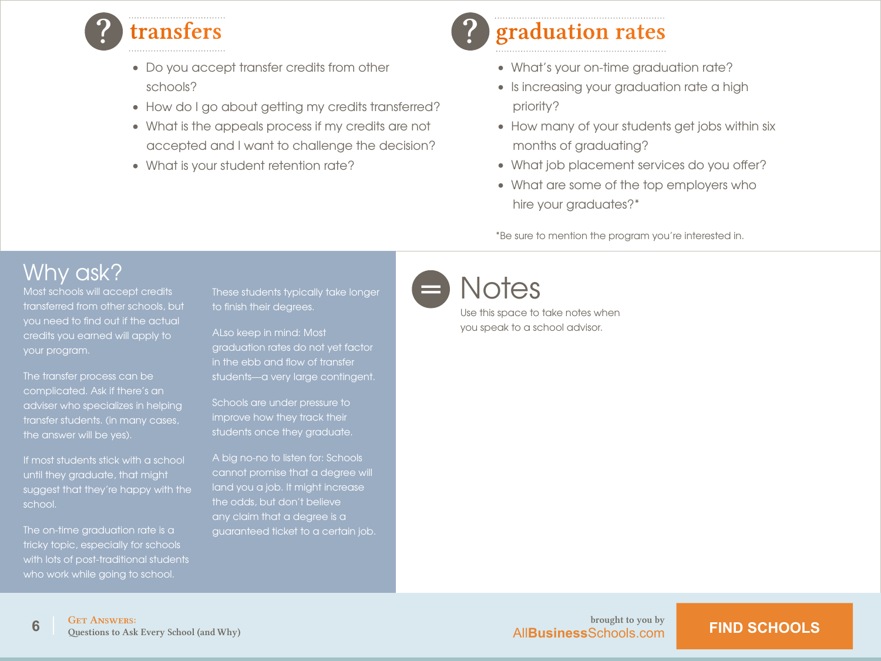

- Do you accept transfer credits from other schools?
- How do I go about getting my credits transferred?
- What is the appeals process if my credits are not accepted and I want to challenge the decision?
- What is your student retention rate?

## graduation rates

- What's your on-time graduation rate?
- Is increasing your graduation rate a high priority?
- How many of your students get jobs within six months of graduating?
- What job placement services do you offer?
- What are some of the top employers who hire your graduates?\*

\*Be sure to mention the program you're interested in.

### Why ask?

transferred from other schools, but you need to find out if the actual credits you earned will apply to your program.

The transfer process can be adviser who specializes in helping transfer students. (in many cases,

If most students stick with a school until they graduate, that might suggest that they're happy with the school.

The on-time graduation rate is a with lots of post-traditional students who work while going to school.

These students typically take longer to finish their degrees.

ALso keep in mind: Most graduation rates do not yet factor in the ebb and flow of transfer students—a very large contingent.

Schools are under pressure to students once they graduate.

A big no-no to listen for: Schools cannot promise that a degree will land you a job. It might increase the odds, but don't believe any claim that a degree is a guaranteed ticket to a certain job.

#### Notes =

Use this space to take notes when you speak to a school advisor.

**AllBusiness**Schools.com **FIND SCHOOLS**